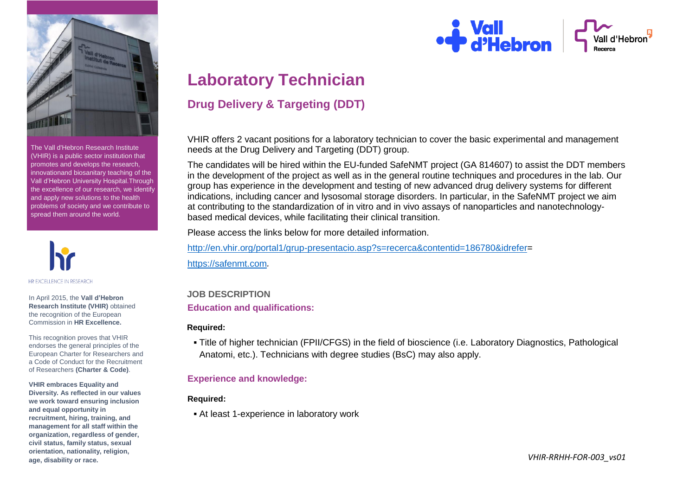

The Vall d'Hebron Research Institute (VHIR) is a public sector institution that promotes and develops the research, innovationand biosanitary teaching of the Vall d'Hebron University Hospital.Through the excellence of our research, we identify and apply new solutions to the health problems of society and we contribute to spread them around the world.



In April 2015, the **Vall d'Hebron Research Institute (VHIR)** obtained the recognition of the European Commission in **HR Excellence.**

This recognition proves that VHIR endorses the general principles of the European Charter for Researchers and a Code of Conduct for the Recruitment of Researchers **(Charter & Code)**.

**VHIR embraces Equality and Diversity. As reflected in our values we work toward ensuring inclusion and equal opportunity in recruitment, hiring, training, and management for all staff within the organization, regardless of gender, civil status, family status, sexual orientation, nationality, religion, age, disability or race.**

# **Wall**<br>**P** d'Hebron

## **Laboratory Technician**

### **Drug Delivery & Targeting (DDT)**

VHIR offers 2 vacant positions for a laboratory technician to cover the basic experimental and management needs at the Drug Delivery and Targeting (DDT) group.

The candidates will be hired within the EU-funded SafeNMT project (GA 814607) to assist the DDT members in the development of the project as well as in the general routine techniques and procedures in the lab. Our group has experience in the development and testing of new advanced drug delivery systems for different indications, including cancer and lysosomal storage disorders. In particular, in the SafeNMT project we aim at contributing to the standardization of in vitro and in vivo assays of nanoparticles and nanotechnologybased medical devices, while facilitating their clinical transition.

Please access the links below for more detailed information.

[http://en.vhir.org/portal1/grup-presentacio.asp?s=recerca&contentid=186780&idrefer=](http://en.vhir.org/portal1/grup-presentacio.asp?s=recerca&contentid=186780&idrefer) [https://safenmt.com](https://safenmt.com/)*.*

#### **JOB DESCRIPTION Education and qualifications:**

#### **Required:**

 Title of higher technician (FPII/CFGS) in the field of bioscience (i.e. Laboratory Diagnostics, Pathological Anatomi, etc.). Technicians with degree studies (BsC) may also apply.

#### **Experience and knowledge:**

#### **Required:**

At least 1-experience in laboratory work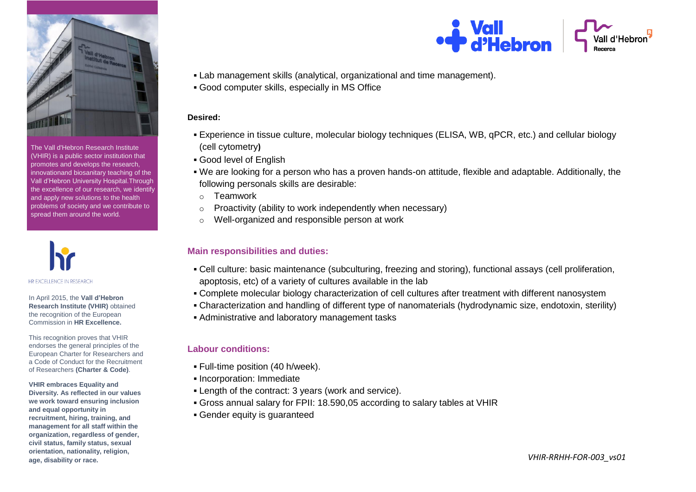

The Vall d'Hebron Research Institute (VHIR) is a public sector institution that promotes and develops the research, innovationand biosanitary teaching of the Vall d'Hebron University Hospital.Through the excellence of our research, we identify and apply new solutions to the health problems of society and we contribute to spread them around the world.



In April 2015, the **Vall d'Hebron Research Institute (VHIR)** obtained the recognition of the European Commission in **HR Excellence.**

This recognition proves that VHIR endorses the general principles of the European Charter for Researchers and a Code of Conduct for the Recruitment of Researchers **(Charter & Code)**.

**VHIR embraces Equality and Diversity. As reflected in our values we work toward ensuring inclusion and equal opportunity in recruitment, hiring, training, and management for all staff within the organization, regardless of gender, civil status, family status, sexual orientation, nationality, religion, age, disability or race.**



- Lab management skills (analytical, organizational and time management).
- Good computer skills, especially in MS Office

#### **Desired:**

- Experience in tissue culture, molecular biology techniques (ELISA, WB, qPCR, etc.) and cellular biology (cell cytometry**)**
- Good level of English
- We are looking for a person who has a proven hands-on attitude, flexible and adaptable. Additionally, the following personals skills are desirable:
- o Teamwork
- o Proactivity (ability to work independently when necessary)
- o Well-organized and responsible person at work

#### **Main responsibilities and duties:**

- Cell culture: basic maintenance (subculturing, freezing and storing), functional assays (cell proliferation, apoptosis, etc) of a variety of cultures available in the lab
- Complete molecular biology characterization of cell cultures after treatment with different nanosystem
- Characterization and handling of different type of nanomaterials (hydrodynamic size, endotoxin, sterility)
- Administrative and laboratory management tasks

#### **Labour conditions:**

- Full-time position (40 h/week).
- Incorporation: Immediate
- Length of the contract: 3 years (work and service).
- Gross annual salary for FPII: 18.590,05 according to salary tables at VHIR
- Gender equity is guaranteed